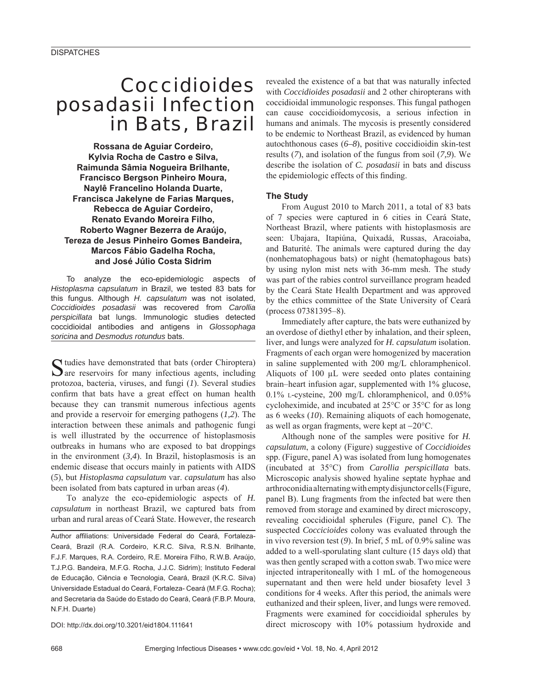# *Coccidioides posadasii* Infection in Bats, Brazil

**Rossana de Aguiar Cordeiro, Kylvia Rocha de Castro e Silva, Raimunda Sâmia Nogueira Brilhante, Francisco Bergson Pinheiro Moura, Naylê Francelino Holanda Duarte, Francisca Jakelyne de Farias Marques, Rebecca de Aguiar Cordeiro, Renato Evando Moreira Filho, Roberto Wagner Bezerra de Araújo, Tereza de Jesus Pinheiro Gomes Bandeira, Marcos Fábio Gadelha Rocha, and José Júlio Costa Sidrim**

To analyze the eco-epidemiologic aspects of *Histoplasma capsulatum* in Brazil, we tested 83 bats for this fungus. Although *H. capsulatum* was not isolated, *Coccidioides posadasii* was recovered from *Carollia perspicillata* bat lungs. Immunologic studies detected coccidioidal antibodies and antigens in *Glossophaga soricina* and *Desmodus rotundus* bats.

Studies have demonstrated that bats (order Chiroptera) are reservoirs for many infectious agents, including protozoa, bacteria, viruses, and fungi (*1*). Several studies confirm that bats have a great effect on human health because they can transmit numerous infectious agents and provide a reservoir for emerging pathogens (*1,2*). The interaction between these animals and pathogenic fungi is well illustrated by the occurrence of histoplasmosis outbreaks in humans who are exposed to bat droppings in the environment (*3,4*). In Brazil, histoplasmosis is an endemic disease that occurs mainly in patients with AIDS (*5*), but *Histoplasma capsulatum* var. *capsulatum* has also been isolated from bats captured in urban areas (*4*).

To analyze the eco-epidemiologic aspects of *H. capsulatum* in northeast Brazil, we captured bats from urban and rural areas of Ceará State. However, the research

Author affiliations: Universidade Federal do Ceará, Fortaleza-Ceará, Brazil (R.A. Cordeiro, K.R.C. Silva, R.S.N. Brilhante, F.J.F. Marques, R.A. Cordeiro, R.E. Moreira Filho, R.W.B. Araújo, T.J.P.G. Bandeira, M.F.G. Rocha, J.J.C. Sidrim); Instituto Federal de Educação, Ciência e Tecnologia, Ceará, Brazil (K.R.C. Silva) Universidade Estadual do Ceará, Fortaleza- Ceará (M.F.G. Rocha); and Secretaria da Saúde do Estado do Ceará, Ceará (F.B.P. Moura, N.F.H. Duarte)

DOI: http://dx.doi.org/10.3201/eid1804.111641

revealed the existence of a bat that was naturally infected with *Coccidioides posadasii* and 2 other chiropterans with coccidioidal immunologic responses. This fungal pathogen can cause coccidioidomycosis, a serious infection in humans and animals. The mycosis is presently considered to be endemic to Northeast Brazil, as evidenced by human autochthonous cases (*6–8*), positive coccidioidin skin-test results (*7*), and isolation of the fungus from soil (*7,9*). We describe the isolation of *C. posadasii* in bats and discuss the epidemiologic effects of this finding.

## **The Study**

From August 2010 to March 2011, a total of 83 bats of 7 species were captured in 6 cities in Ceará State, Northeast Brazil, where patients with histoplasmosis are seen: Ubajara, Itapiúna, Quixadá, Russas, Aracoiaba, and Baturité. The animals were captured during the day (nonhematophagous bats) or night (hematophagous bats) by using nylon mist nets with 36-mm mesh. The study was part of the rabies control surveillance program headed by the Ceará State Health Department and was approved by the ethics committee of the State University of Ceará (process 07381395–8).

Immediately after capture, the bats were euthanized by an overdose of diethyl ether by inhalation, and their spleen, liver, and lungs were analyzed for *H. capsulatum* isolation. Fragments of each organ were homogenized by maceration in saline supplemented with 200 mg/L chloramphenicol. Aliquots of 100 μL were seeded onto plates containing brain–heart infusion agar, supplemented with 1% glucose, 0.1% L-cysteine, 200 mg/L chloramphenicol, and 0.05% cycloheximide, and incubated at 25°C or 35°C for as long as 6 weeks (*10*). Remaining aliquots of each homogenate, as well as organ fragments, were kept at −20°C.

Although none of the samples were positive for *H. capsulatum*, a colony (Figure) suggestive of *Coccidioides* spp. (Figure, panel A) was isolated from lung homogenates (incubated at 35°C) from *Carollia perspicillata* bats. Microscopic analysis showed hyaline septate hyphae and arthroconidia alternating with empty disjunctor cells (Figure, panel B). Lung fragments from the infected bat were then removed from storage and examined by direct microscopy, revealing coccidioidal spherules (Figure, panel C). The suspected *Coccicioides* colony was evaluated through the in vivo reversion test (*9*). In brief, 5 mL of 0.9% saline was added to a well-sporulating slant culture (15 days old) that was then gently scraped with a cotton swab. Two mice were injected intraperitoneally with 1 mL of the homogeneous supernatant and then were held under biosafety level 3 conditions for 4 weeks. After this period, the animals were euthanized and their spleen, liver, and lungs were removed. Fragments were examined for coccidioidal spherules by direct microscopy with 10% potassium hydroxide and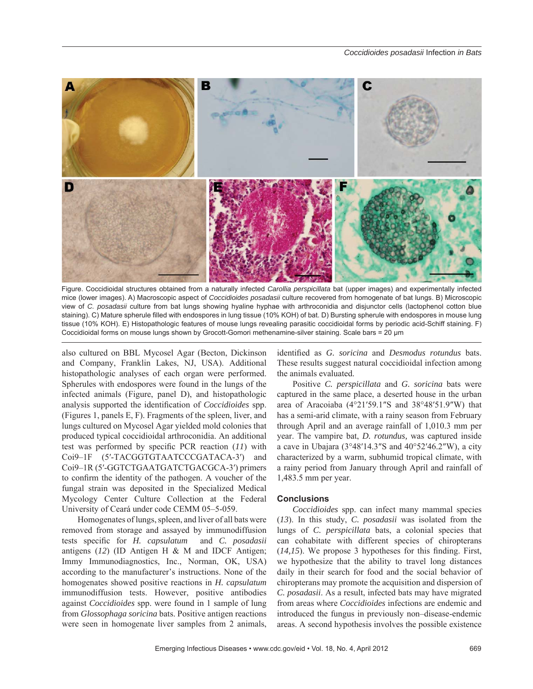

Figure. Coccidioidal structures obtained from a naturally infected *Carollia perspicillata* bat (upper images) and experimentally infected mice (lower images). A) Macroscopic aspect of *Coccidioides posadasii* culture recovered from homogenate of bat lungs. B) Microscopic view of *C. posadasii* culture from bat lungs showing hyaline hyphae with arthroconidia and disjunctor cells (lactophenol cotton blue staining). C) Mature spherule filled with endospores in lung tissue (10% KOH) of bat. D) Bursting spherule with endospores in mouse lung tissue (10% KOH). E) Histopathologic features of mouse lungs revealing parasitic coccidioidal forms by periodic acid-Schiff staining. F) Coccidioidal forms on mouse lungs shown by Grocott-Gomori methenamine-silver staining. Scale bars = 20 μm

also cultured on BBL Mycosel Agar (Becton, Dickinson and Company, Franklin Lakes, NJ, USA). Additional histopathologic analyses of each organ were performed. Spherules with endospores were found in the lungs of the infected animals (Figure, panel D), and histopathologic analysis supported the identification of *Coccidioides* spp. (Figures 1, panels E, F). Fragments of the spleen, liver, and lungs cultured on Mycosel Agar yielded mold colonies that produced typical coccidioidal arthroconidia. An additional test was performed by specific PCR reaction  $(11)$  with Coi9–1F (5′-TACGGTGTAATCCCGATACA-3′) and Coi9–1R (5′-GGTCTGAATGATCTGACGCA-3′) primers to confirm the identity of the pathogen. A voucher of the fungal strain was deposited in the Specialized Medical Mycology Center Culture Collection at the Federal University of Ceará under code CEMM 05–5-059.

Homogenates of lungs, spleen, and liver of all bats were removed from storage and assayed by immunodiffusion tests specific for *H. capsulatum* and *C. posadasii* antigens (*12*) (ID Antigen H & M and IDCF Antigen; Immy Immunodiagnostics, Inc., Norman, OK, USA) according to the manufacturer's instructions. None of the homogenates showed positive reactions in *H. capsulatum* immunodiffusion tests. However, positive antibodies against *Coccidioides* spp. were found in 1 sample of lung from *Glossophaga soricina* bats. Positive antigen reactions were seen in homogenate liver samples from 2 animals,

identified as *G. soricina* and *Desmodus rotundus* bats. These results suggest natural coccidioidal infection among the animals evaluated.

Positive *C. perspicillata* and *G. soricina* bats were captured in the same place, a deserted house in the urban area of Aracoiaba (4°21′59.1″S and 38°48′51.9″W) that has a semi-arid climate, with a rainy season from February through April and an average rainfall of 1,010.3 mm per year. The vampire bat, *D. rotundus,* was captured inside a cave in Ubajara ( $3^{\circ}48'14.3''S$  and  $40^{\circ}52'46.2''W$ ), a city characterized by a warm, subhumid tropical climate, with a rainy period from January through April and rainfall of 1,483.5 mm per year.

## **Conclusions**

*Coccidioides* spp. can infect many mammal species (*13*). In this study, *C. posadasii* was isolated from the lungs of *C. perspicillata* bats, a colonial species that can cohabitate with different species of chiropterans  $(14,15)$ . We propose 3 hypotheses for this finding. First, we hypothesize that the ability to travel long distances daily in their search for food and the social behavior of chiropterans may promote the acquisition and dispersion of *C. posadasii*. As a result, infected bats may have migrated from areas where *Coccidioides* infections are endemic and introduced the fungus in previously non–disease-endemic areas. A second hypothesis involves the possible existence